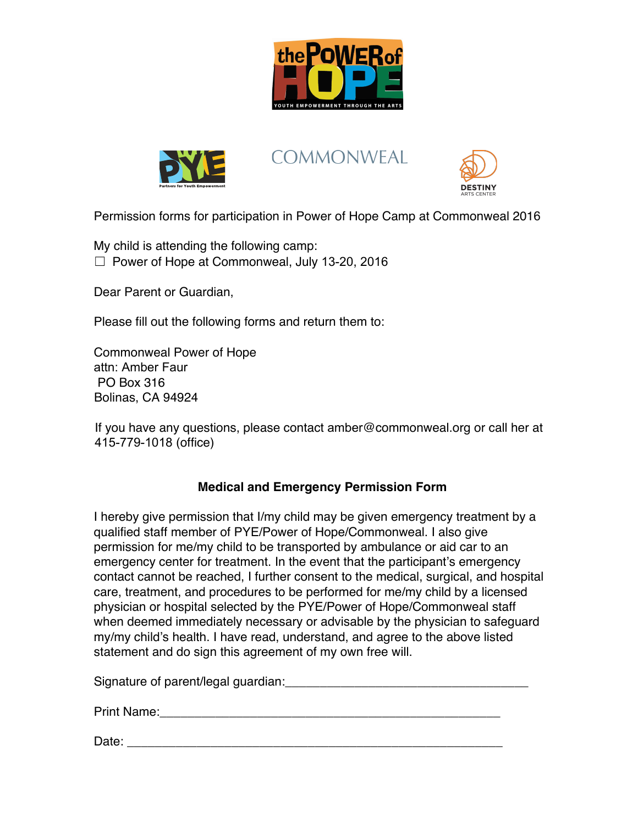



**COMMONWEAL** 



Permission forms for participation in Power of Hope Camp at Commonweal 2016

My child is attending the following camp:  $\Box$  Power of Hope at Commonweal, July 13-20, 2016

Dear Parent or Guardian,

Please fill out the following forms and return them to:

Commonweal Power of Hope attn: Amber Faur PO Box 316 Bolinas, CA 94924

If you have any questions, please contact amber@commonweal.org or call her at 415-779-1018 (office)

## **Medical and Emergency Permission Form**

I hereby give permission that I/my child may be given emergency treatment by a qualified staff member of PYE/Power of Hope/Commonweal. I also give permission for me/my child to be transported by ambulance or aid car to an emergency center for treatment. In the event that the participant's emergency contact cannot be reached, I further consent to the medical, surgical, and hospital care, treatment, and procedures to be performed for me/my child by a licensed physician or hospital selected by the PYE/Power of Hope/Commonweal staff when deemed immediately necessary or advisable by the physician to safeguard my/my child's health. I have read, understand, and agree to the above listed statement and do sign this agreement of my own free will.

Signature of parent/legal guardian:  $\Box$ 

Print Name:\_\_\_\_\_\_\_\_\_\_\_\_\_\_\_\_\_\_\_\_\_\_\_\_\_\_\_\_\_\_\_\_\_\_\_\_\_\_\_\_\_\_\_\_\_\_\_\_\_

Date: \_\_\_\_\_\_\_\_\_\_\_\_\_\_\_\_\_\_\_\_\_\_\_\_\_\_\_\_\_\_\_\_\_\_\_\_\_\_\_\_\_\_\_\_\_\_\_\_\_\_\_\_\_\_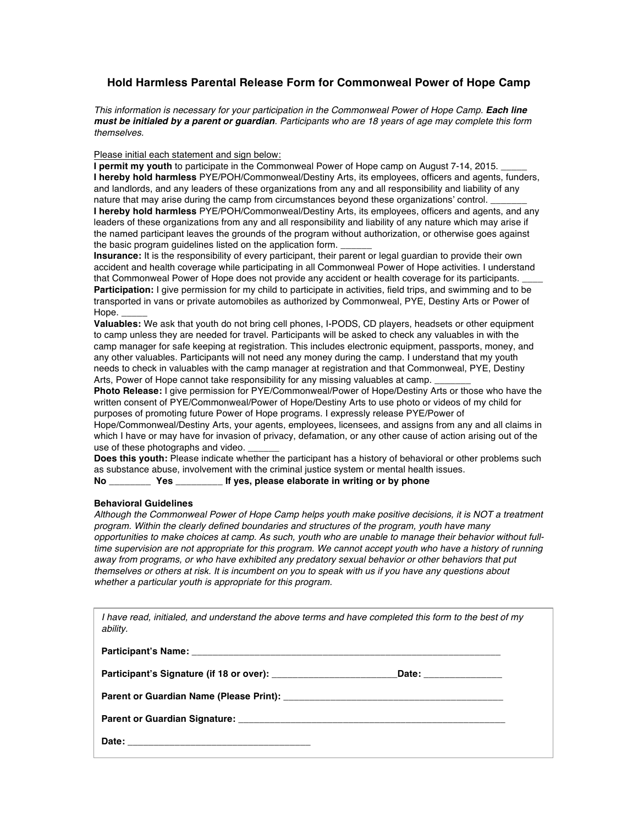### **Hold Harmless Parental Release Form for Commonweal Power of Hope Camp**

*This information is necessary for your participation in the Commonweal Power of Hope Camp. Each line must be initialed by a parent or guardian. Participants who are 18 years of age may complete this form themselves.* 

#### Please initial each statement and sign below:

**I permit my youth** to participate in the Commonweal Power of Hope camp on August 7-14, 2015. **I hereby hold harmless** PYE/POH/Commonweal/Destiny Arts, its employees, officers and agents, funders, and landlords, and any leaders of these organizations from any and all responsibility and liability of any nature that may arise during the camp from circumstances beyond these organizations' control. **I hereby hold harmless** PYE/POH/Commonweal/Destiny Arts, its employees, officers and agents, and any leaders of these organizations from any and all responsibility and liability of any nature which may arise if the named participant leaves the grounds of the program without authorization, or otherwise goes against

the basic program guidelines listed on the application form.

**Insurance:** It is the responsibility of every participant, their parent or legal guardian to provide their own accident and health coverage while participating in all Commonweal Power of Hope activities. I understand that Commonweal Power of Hope does not provide any accident or health coverage for its participants. **Participation:** I give permission for my child to participate in activities, field trips, and swimming and to be transported in vans or private automobiles as authorized by Commonweal, PYE, Destiny Arts or Power of Hope.

**Valuables:** We ask that youth do not bring cell phones, I-PODS, CD players, headsets or other equipment to camp unless they are needed for travel. Participants will be asked to check any valuables in with the camp manager for safe keeping at registration. This includes electronic equipment, passports, money, and any other valuables. Participants will not need any money during the camp. I understand that my youth needs to check in valuables with the camp manager at registration and that Commonweal, PYE, Destiny Arts, Power of Hope cannot take responsibility for any missing valuables at camp.

**Photo Release:** I give permission for PYE/Commonweal/Power of Hope/Destiny Arts or those who have the written consent of PYE/Commonweal/Power of Hope/Destiny Arts to use photo or videos of my child for purposes of promoting future Power of Hope programs. I expressly release PYE/Power of

Hope/Commonweal/Destiny Arts, your agents, employees, licensees, and assigns from any and all claims in which I have or may have for invasion of privacy, defamation, or any other cause of action arising out of the use of these photographs and video.

**Does this youth:** Please indicate whether the participant has a history of behavioral or other problems such as substance abuse, involvement with the criminal justice system or mental health issues.

#### **No \_\_\_\_\_\_\_\_ Yes \_\_\_\_\_\_\_\_\_ If yes, please elaborate in writing or by phone**

#### **Behavioral Guidelines**

*Although the Commonweal Power of Hope Camp helps youth make positive decisions, it is NOT a treatment program. Within the clearly defined boundaries and structures of the program, youth have many opportunities to make choices at camp. As such, youth who are unable to manage their behavior without fulltime supervision are not appropriate for this program. We cannot accept youth who have a history of running away from programs, or who have exhibited any predatory sexual behavior or other behaviors that put themselves or others at risk. It is incumbent on you to speak with us if you have any questions about whether a particular youth is appropriate for this program.* 

*I have read, initialed, and understand the above terms and have completed this form to the best of my ability.* 

| Date: <u>Date:</u> |
|--------------------|
|                    |
|                    |
|                    |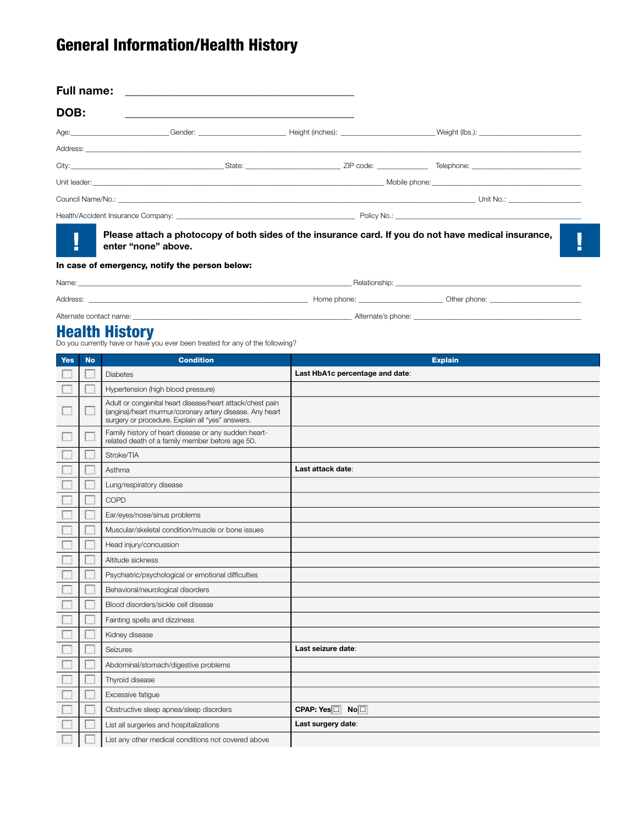# General Information/Health History

| <b>Full name:</b> | <u> 1989 - John Stein, Amerikaansk politiker († 1989)</u>                                                                   |  |  |
|-------------------|-----------------------------------------------------------------------------------------------------------------------------|--|--|
| DOB:              |                                                                                                                             |  |  |
|                   |                                                                                                                             |  |  |
|                   |                                                                                                                             |  |  |
|                   |                                                                                                                             |  |  |
|                   |                                                                                                                             |  |  |
|                   |                                                                                                                             |  |  |
|                   |                                                                                                                             |  |  |
| H                 | Please attach a photocopy of both sides of the insurance card. If you do not have medical insurance,<br>enter "none" above. |  |  |
|                   | In case of emergency, notify the person below:                                                                              |  |  |
|                   |                                                                                                                             |  |  |

| Address:                | Home phone:        | Other phone: |
|-------------------------|--------------------|--------------|
| Alternate contact name: | Alternate's phone: |              |

**Health History**<br>Do you currently have or have you ever been treated for any of the following?

| <b>Yes</b> | <b>No</b> | <b>Condition</b>                                                                                                                                                          | <b>Explain</b>                  |
|------------|-----------|---------------------------------------------------------------------------------------------------------------------------------------------------------------------------|---------------------------------|
|            |           | <b>Diabetes</b>                                                                                                                                                           | Last HbA1c percentage and date: |
|            | 0         | Hypertension (high blood pressure)                                                                                                                                        |                                 |
|            |           | Adult or congenital heart disease/heart attack/chest pain<br>(angina)/heart murmur/coronary artery disease. Any heart<br>surgery or procedure. Explain all "yes" answers. |                                 |
|            |           | Family history of heart disease or any sudden heart-<br>related death of a family member before age 50.                                                                   |                                 |
|            |           | Stroke/TIA                                                                                                                                                                |                                 |
|            |           | Asthma                                                                                                                                                                    | Last attack date:               |
|            |           | Lung/respiratory disease                                                                                                                                                  |                                 |
|            |           | COPD                                                                                                                                                                      |                                 |
|            |           | Ear/eyes/nose/sinus problems                                                                                                                                              |                                 |
|            |           | Muscular/skeletal condition/muscle or bone issues                                                                                                                         |                                 |
|            |           | Head injury/concussion                                                                                                                                                    |                                 |
|            |           | Altitude sickness                                                                                                                                                         |                                 |
|            |           | Psychiatric/psychological or emotional difficulties                                                                                                                       |                                 |
|            |           | Behavioral/neurological disorders                                                                                                                                         |                                 |
|            |           | Blood disorders/sickle cell disease                                                                                                                                       |                                 |
|            |           | Fainting spells and dizziness                                                                                                                                             |                                 |
|            |           | Kidney disease                                                                                                                                                            |                                 |
|            |           | Seizures                                                                                                                                                                  | Last seizure date:              |
|            |           | Abdominal/stomach/digestive problems                                                                                                                                      |                                 |
|            |           | Thyroid disease                                                                                                                                                           |                                 |
|            |           | Excessive fatigue                                                                                                                                                         |                                 |
|            |           | Obstructive sleep apnea/sleep disorders                                                                                                                                   | CPAP: Yes□ No□                  |
|            |           | List all surgeries and hospitalizations                                                                                                                                   | Last surgery date:              |
|            |           | List any other medical conditions not covered above                                                                                                                       |                                 |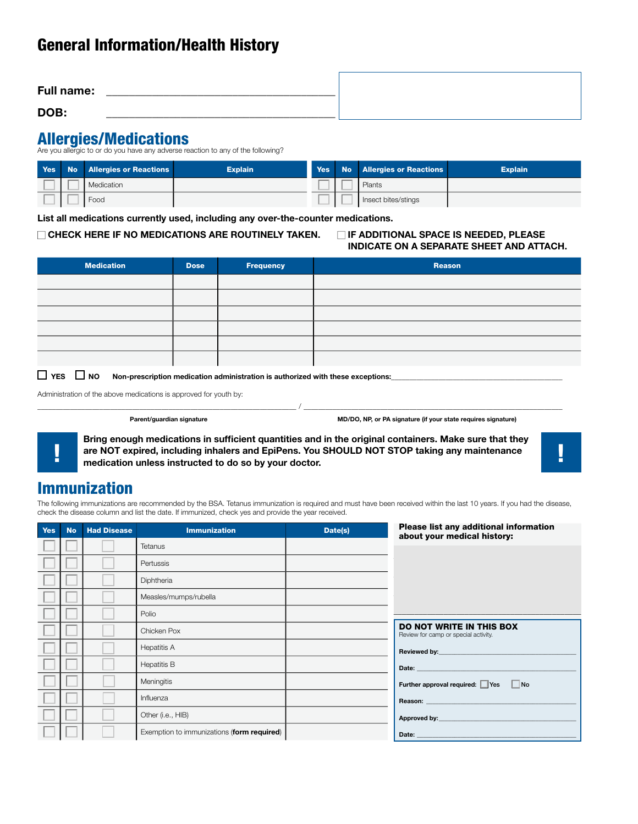## General Information/Health History

| <b>Full name:</b> |  |
|-------------------|--|
| DOB:              |  |

## Allergies/Medications

Are you allergic to or do you have any adverse reaction to any of the following?

| Yes N | No Allergies or Reactions | <b>Explain</b> |  | Yes No Allergies or Reactions | <b>Explain</b> |
|-------|---------------------------|----------------|--|-------------------------------|----------------|
|       | Medication                |                |  | Plants                        |                |
|       | Food                      |                |  | Insect bites/stings           |                |

**List all medications currently used, including any over-the-counter medications.**

## □ CHECK HERE IF NO MEDICATIONS ARE ROUTINELY TAKEN. □ IF ADDITIONAL SPACE IS NEEDED, PLEASE

# **INDICATE ON A SEPARATE SHEET AND ATTACH.**

| <b>Medication</b> | <b>Dose</b> | Frequency | Reason |
|-------------------|-------------|-----------|--------|
|                   |             |           |        |
|                   |             |           |        |
|                   |             |           |        |
|                   |             |           |        |
|                   |             |           |        |
|                   |             |           |        |

 $\Box$  YES  $\Box$  NO Non-prescription medication administration is authorized with these exceptions:

Administration of the above medications is approved for youth by:

**Parent/guardian signature MD/DO, NP, or PA signature (if your state requires signature)**

**Bring enough medications in sufficient quantities and in the original containers. Make sure that they are NOT expired, including inhalers and EpiPens. You SHOULD NOT STOP taking any maintenance**  $\begin{bmatrix} 1 & 1 \\ 0 & 1 \end{bmatrix}$ 

\_\_\_\_\_\_\_\_\_\_\_\_\_\_\_\_\_\_\_\_\_\_\_\_\_\_\_\_\_\_\_\_\_\_\_\_\_\_\_\_\_\_\_\_\_\_\_\_\_\_\_\_\_\_\_\_\_\_\_\_\_\_\_\_\_\_\_\_\_\_\_ / \_\_\_\_\_\_\_\_\_\_\_\_\_\_\_\_\_\_\_\_\_\_\_\_\_\_\_\_\_\_\_\_\_\_\_\_\_\_\_\_\_\_\_\_\_\_\_\_\_\_\_\_\_\_\_\_\_\_\_\_\_\_\_\_\_\_\_\_\_\_\_



## Immunization

The following immunizations are recommended by the BSA. Tetanus immunization is required and must have been received within the last 10 years. If you had the disease, check the disease column and list the date. If immunized, check yes and provide the year received.

| <b>Yes</b> | <b>No</b> | <b>Had Disease</b> | <b>Immunization</b>                        | Date(s) | Please list any additional information<br>about your medical history:                                                                                                                                                          |
|------------|-----------|--------------------|--------------------------------------------|---------|--------------------------------------------------------------------------------------------------------------------------------------------------------------------------------------------------------------------------------|
|            |           |                    | Tetanus                                    |         |                                                                                                                                                                                                                                |
|            |           |                    | Pertussis                                  |         |                                                                                                                                                                                                                                |
|            |           |                    | Diphtheria                                 |         |                                                                                                                                                                                                                                |
|            |           |                    | Measles/mumps/rubella                      |         |                                                                                                                                                                                                                                |
|            |           |                    | Polio                                      |         |                                                                                                                                                                                                                                |
|            |           |                    | Chicken Pox                                |         | <b>DO NOT WRITE IN THIS BOX</b><br>Review for camp or special activity.                                                                                                                                                        |
|            |           |                    | <b>Hepatitis A</b>                         |         |                                                                                                                                                                                                                                |
|            |           |                    | <b>Hepatitis B</b>                         |         | Date: The Contract of the Contract of the Contract of the Contract of the Contract of the Contract of the Contract of the Contract of the Contract of the Contract of the Contract of the Contract of the Contract of the Cont |
|            |           |                    | Meningitis                                 |         | Further approval required: Yes No                                                                                                                                                                                              |
|            |           |                    | Influenza                                  |         |                                                                                                                                                                                                                                |
|            |           |                    | Other (i.e., HIB)                          |         |                                                                                                                                                                                                                                |
|            |           |                    | Exemption to immunizations (form required) |         | Date: the contract of the contract of the contract of the contract of the contract of the contract of the contract of the contract of the contract of the contract of the contract of the contract of the contract of the cont |